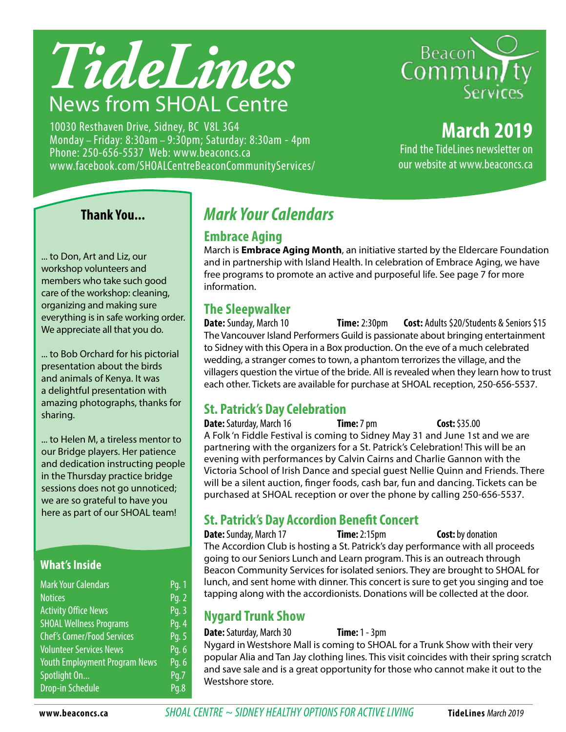

10030 Resthaven Drive, Sidney, BC V8L 3G4 Monday – Friday: 8:30am – 9:30pm; Saturday: 8:30am - 4pm Phone: 250-656-5537 Web: www.beaconcs.ca www.facebook.com/SHOALCentreBeaconCommunityServices/



### **March 2019**

Find the TideLines newsletter on our website at www.beaconcs.ca

### **Thank You...**

... to Don, Art and Liz, our workshop volunteers and members who take such good care of the workshop: cleaning, organizing and making sure everything is in safe working order. We appreciate all that you do.

... to Bob Orchard for his pictorial presentation about the birds and animals of Kenya. It was a delightful presentation with amazing photographs, thanks for sharing.

... to Helen M, a tireless mentor to our Bridge players. Her patience and dedication instructing people in the Thursday practice bridge sessions does not go unnoticed; we are so grateful to have you here as part of our SHOAL team!

### **What's Inside**

| <b>Mark Your Calendars</b>           | Pq. 1 |
|--------------------------------------|-------|
| <b>Notices</b>                       | Pg. 2 |
| <b>Activity Office News</b>          | Pg. 3 |
| <b>SHOAL Wellness Programs</b>       | Pg. 4 |
| <b>Chef's Corner/Food Services</b>   | Pg. 5 |
| <b>Volunteer Services News</b>       | Pg. 6 |
| <b>Youth Employment Program News</b> | Pg. 6 |
| Spotlight On                         | Pq.7  |
| <b>Drop-in Schedule</b>              | Pq.8  |

### *Mark Your Calendars*

### **Embrace Aging**

March is **Embrace Aging Month**, an initiative started by the Eldercare Foundation and in partnership with Island Health. In celebration of Embrace Aging, we have free programs to promote an active and purposeful life. See page 7 for more information.

### **The Sleepwalker**

**Date:** Sunday, March 10 **Time:** 2:30pm **Cost:** Adults \$20/Students & Seniors \$15 The Vancouver Island Performers Guild is passionate about bringing entertainment to Sidney with this Opera in a Box production. On the eve of a much celebrated wedding, a stranger comes to town, a phantom terrorizes the village, and the villagers question the virtue of the bride. All is revealed when they learn how to trust each other. Tickets are available for purchase at SHOAL reception, 250-656-5537.

### **St. Patrick's Day Celebration**

**Date:** Saturday, March 16 **Time:** 7 pm **Cost:** \$35.00 A Folk 'n Fiddle Festival is coming to Sidney May 31 and June 1st and we are partnering with the organizers for a St. Patrick's Celebration! This will be an evening with performances by Calvin Cairns and Charlie Gannon with the Victoria School of Irish Dance and special guest Nellie Quinn and Friends. There will be a silent auction, finger foods, cash bar, fun and dancing. Tickets can be purchased at SHOAL reception or over the phone by calling 250-656-5537.

### **St. Patrick's Day Accordion Benefit Concert**

**Date:** Sunday, March 17 **Time:** 2:15pm **Cost:** by donation The Accordion Club is hosting a St. Patrick's day performance with all proceeds going to our Seniors Lunch and Learn program. This is an outreach through Beacon Community Services for isolated seniors. They are brought to SHOAL for lunch, and sent home with dinner. This concert is sure to get you singing and toe tapping along with the accordionists. Donations will be collected at the door.

### **Nygard Trunk Show**

### **Date:** Saturday, March 30 **Time:** 1 - 3pm

Nygard in Westshore Mall is coming to SHOAL for a Trunk Show with their very popular Alia and Tan Jay clothing lines. This visit coincides with their spring scratch and save sale and is a great opportunity for those who cannot make it out to the Westshore store.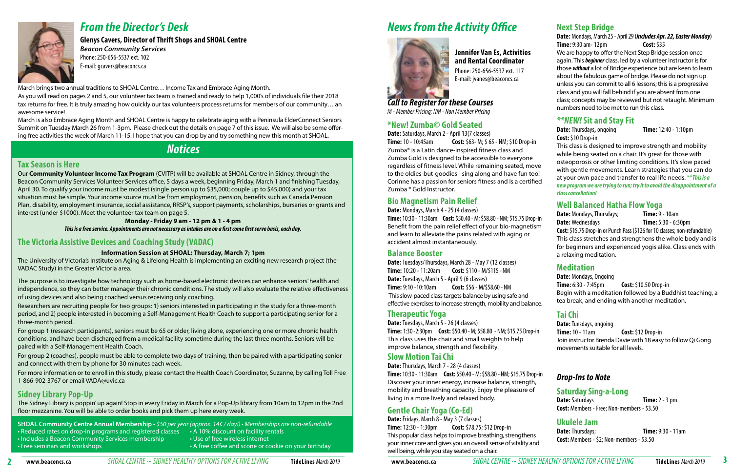### **Tax Season is Here**

Our **Community Volunteer Income Tax Program** (CVITP) will be available at SHOAL Centre in Sidney, through the Beacon Community Services Volunteer Services office, 5 days a week, beginning Friday, March 1 and finishing Tuesday, April 30. To qualify your income must be modest (single person up to \$35,000; couple up to \$45,000) and your tax situation must be simple. Your income source must be from employment, pension, benefits such as Canada Pension Plan, disability, employment insurance, social assistance, RRSP's, support payments, scholarships, bursaries or grants and interest (under \$1000). Meet the volunteer tax team on page 5.

### **Monday - Friday 9 am - 12 pm & 1 - 4 pm**

*This is a free service. Appointments are not necessary as intakes are on a first come first serve basis, each day.*

### **The Victoria Assistive Devices and Coaching Study (VADAC)**

### **Information Session at SHOAL: Thursday, March 7; 1pm**

The University of Victoria's Institute on Aging & Lifelong Health is implementing an exciting new research project (the VADAC Study) in the Greater Victoria area.

The purpose is to investigate how technology such as home-based electronic devices can enhance seniors' health and independence, so they can better manager their chronic conditions. The study will also evaluate the relative effectiveness of using devices and also being coached versus receiving only coaching.

Researchers are recruiting people for two groups: 1) seniors interested in participating in the study for a three-month period, and 2) people interested in becoming a Self-Management Health Coach to support a participating senior for a three-month period.

- **SHOAL Community Centre Annual Membership** \$50 per year (approx. 14¢ / day!) Memberships are non-refundable • Reduced rates on drop-in programs and registered classes • A 10% discount on facility rentals
- Includes a Beacon Community Services membership Use of free wireless internet
- Free seminars and workshops  **A free coffee and scone or cookie on your birthday** A free coffee and scone or cookie on your birthday
- -

For group 1 (research participants), seniors must be 65 or older, living alone, experiencing one or more chronic health conditions, and have been discharged from a medical facility sometime during the last three months. Seniors will be paired with a Self-Management Health Coach.

For group 2 (coaches), people must be able to complete two days of training, then be paired with a participating senior and connect with them by phone for 30 minutes each week.

For more information or to enroll in this study, please contact the Health Coach Coordinator, Suzanne, by calling Toll Free 1-866-902-3767 or email VADA@uvic.ca

### **Sidney Library Pop-Up**

The Sidney Library is poppin' up again! Stop in every Friday in March for a Pop-Up library from 10am to 12pm in the 2nd floor mezzanine. You will be able to order books and pick them up here every week.



### *From the Director's Desk*

**Glenys Cavers, Director of Thrift Shops and SHOAL Centre**  *Beacon Community Services* Phone: 250-656-5537 ext. 102 E-mail: gcavers@beaconcs.ca

### *Notices*

# *News from the Activity Office*



March brings two annual traditions to SHOAL Centre… Income Tax and Embrace Aging Month.

As you will read on pages 2 and 5, our volunteer tax team is trained and ready to help 1,000's of individuals file their 2018 tax returns for free. It is truly amazing how quickly our tax volunteers process returns for members of our community… an awesome service!

March is also Embrace Aging Month and SHOAL Centre is happy to celebrate aging with a Peninsula ElderConnect Seniors Summit on Tuesday March 26 from 1-3pm. Please check out the details on page 7 of this issue. We will also be some offering free activities the week of March 11-15. I hope that you can drop by and try something new this month at SHOAL.

> **Date:** Saturdays **Time:** 2 - 3 pm **Cost:** Members - Free; Non-members - \$3.50

**Date:** Thursdays; **Time:** 9:30 - 11am **Cost:** Members - \$2; Non-members - \$3.50

**Jennifer Van Es, Activities and Rental Coordinator** Phone: 250-656-5537 ext. 117 E-mail: jvanes@beaconcs.ca

*Call to Register for these Courses M - Member Pricing; NM - Non Member Pricing*

### **\*New! Zumba© Gold Seated**

**Date:** Saturdays, March 2 - April 13(7 classes)

**Time:** 10 - 10:45am **Cost:** \$63- M; \$ 65 - NM; \$10 Drop-in Zumba® is a Latin dance-inspired fitness class and Zumba Gold is designed to be accessible to everyone regardless of fitness level. While remaining seated, move to the oldies-but-goodies - sing along and have fun too! Corinne has a passion for seniors fitness and is a certified Zumba ® Gold Instructor.

### **Bio Magnetism Pain Relief**

**Date:** Mondays, March 4 - 25 (4 classes)

**Date:** Tuesdays/Thursdays, March 28 - May 7 (12 classes) **Time:** 10:20 - 11:20am **Cost:** \$110 - M/\$115 - NM **Date:** Tuesdays, March 5 - April 9 (6 classes) **Time:** 9:10 -10:10am **Cost:** \$56 - M/\$58.60 - NM This slow-paced class targets balance by using safe and effective exercises to increase strength, mobility and balance.

### **Therapeutic Yoga**

**Date:** Tuesdays, March 5 - 26 (4 classes) **Time:** 1:30 -2:30pm **Cost:** \$50.40 - M; \$58.80 - NM; \$15.75 Drop-in This class uses the chair and small weights to help improve balance, strength and flexibility.

### **Slow Motion Tai Chi**

**Date:** Thursdays, March 7 - 28 (4 classes) **Time:** 10:30 - 11:30am **Cost:** \$50.40 - M; \$58.80 - NM; \$15.75 Drop-in Discover your inner energy, increase balance, strength, mobility and breathing capacity. Enjoy the pleasure of living in a more lively and relaxed body.

### **Gentle Chair Yoga (Co-Ed)**

**Date:** Fridays, March 8 - May 3 (7 classes) **Time:** 12:30 - 1:30pm **Cost:** \$78.75; \$12 Drop-in This popular class helps to improve breathing, strengthens your inner core and gives you an overall sense of vitality and well being, while you stay seated on a chair.

### **Next Step Bridge**

**Time:** 10:30 - 11:30am **Cost:** \$50.40 - M; \$58.80 - NM; \$15.75 Drop-in Benefit from the pain relief effect of your bio-magnetism and learn to alleviate the pains related with aging or accident almost instantaneously. **Balance Booster Date:** Mondays, Thursdays; **Time:** 9 - 10am **Date:** Wednesdays **Time:** 5:30 - 6:30pm **Cost:** \$15.75 Drop-in or Punch Pass(\$126 for 10 classes; non-refundable) This class stretches and strengthens the whole body and is for beginners and experienced yogis alike. Class ends with a relaxing meditation.

**Date:** Mondays, March 25 - April 29 (*includes Apr. 22, Easter Monday*) **Time:** 9:30 am- 12pm **Cost:** \$35

We are happy to offer the Next Step Bridge session once again. This *beginner* class, led by a volunteer instructor is for those *without* a lot of Bridge experience but are keen to learn about the fabulous game of bridge. Please do not sign up unless you can commit to all 6 lessons; this is a progressive class and you will fall behind if you are absent from one class; concepts may be reviewed but not retaught. Minimum numbers need to be met to run this class.

### *\*\*NEW!* **Sit and Stay Fit**

**Date:** Thursdays**,** ongoing **Time:** 12:40 - 1:10pm **Cost:** \$10 Drop-in

This class is designed to improve strength and mobility while being seated on a chair. It's great for those with osteoporosis or other limiting conditions. It's slow paced with gentle movements. Learn strategies that you can do at your own pace and transfer to real life needs. \*\**This is a new program we are trying to run; try it to avoid the disappointment of a class cancellation!*

### **Well Balanced Hatha Flow Yoga**

### **Meditation**

**Date:** Mondays, Ongoing **Time:** 6:30 - 7:45pm **Cost:** \$10.50 Drop-in Begin with a meditation followed by a Buddhist teaching, a tea break, and ending with another meditation.

### **Tai Chi**

**Date:** Tuesdays, ongoing **Time:** 10 - 11am **Cost:** \$12 Drop-in Join instructor Brenda Davie with 18 easy to follow Qi Gong movements suitable for all levels.

### *Drop-Ins to Note*

### **Saturday Sing-a-Long**

### **Ukulele Jam**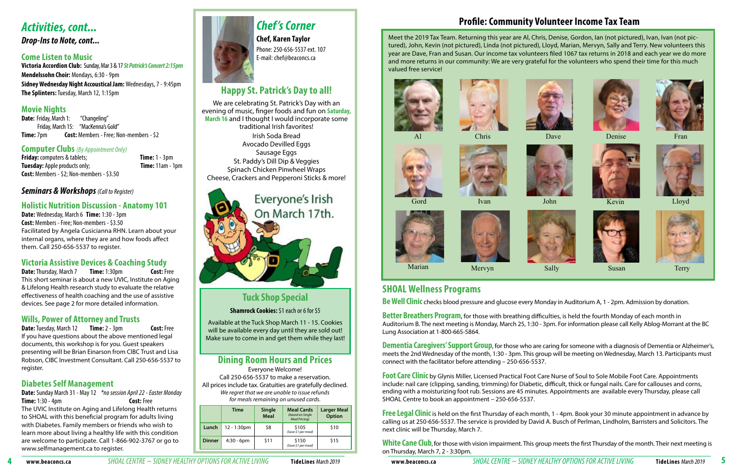### **SHOAL Wellness Programs**

**Be Well Clinic** checks blood pressure and glucose every Monday in Auditorium A, 1 - 2pm. Admission by donation.

**Better Breathers Program**, for those with breathing difficulties, is held the fourth Monday of each month in Auditorium B. The next meeting is Monday, March 25, 1:30 - 3pm. For information please call Kelly Ablog-Morrant at the BC Lung Association at 1-800-665-5864.

**Dementia Caregivers' Support Group**, for those who are caring for someone with a diagnosis of Dementia or Alzheimer's, meets the 2nd Wednesday of the month, 1:30 - 3pm. This group will be meeting on Wednesday, March 13. Participants must connect with the facilitator before attending – 250-656-5537.

**Free Legal Clinic** is held on the first Thursday of each month, 1 - 4pm. Book your 30 minute appointment in advance by calling us at 250-656-5537. The service is provided by David A. Busch of Perlman, Lindholm, Barristers and Solicitors. The next clinic will be Thursday, March 7.

White Cane Club, for those with vision impairment. This group meets the first Thursday of the month. Their next meeting is on Thursday, March 7, 2 - 3:30pm.

www.beaconcs.ca SHOAL CENTRE ~ SIDNEY HEALTHY OPTIONS FOR ACTIVE LIVING TideLines March 2019 www.beaconcs.ca SHOAL CENTRE ~ SIDNEY HEALTHY OPTIONS FOR ACTIVE LIVING TideLines March 2019

**Date:** Friday, March 1: "Changeling" Friday, March 15: "MacKenna's Gold" **Time:** 7pm **Cost:** Members - Free; Non-members - \$2

> **Foot Care Clinic** by Glynis Miller, Licensed Practical Foot Care Nurse of Soul to Sole Mobile Foot Care. Appointments include: nail care (clipping, sanding, trimming) for Diabetic, difficult, thick or fungal nails. Care for callouses and corns, ending with a moisturizing foot rub. Sessions are 45 minutes. Appointments are available every Thursday, please call SHOAL Centre to book an appointment – 250-656-5537.

**Friday:** computers & tablets; **Time:** 1 - 3pm **Tuesday:** Apple products only; **Time:** 11am - 1pm **Cost:** Members - \$2; Non-members - \$3.50

**Date:** Thursday, March 7 **Time:** 1:30pm **Cost:** Free This short seminar is about a new UVIC, Institute on Aging & Lifelong Health research study to evaluate the relative effectiveness of health coaching and the use of assistive devices. See page 2 for more detailed information.

**Date:** Tuesday, March 12 **Time:** 2 - 3pm **Cost:** Free If you have questions about the above mentioned legal documents, this workshop is for you. Guest speakers presenting will be Brian Einarson from CIBC Trust and Lisa Robson, CIBC Investment Consultant. Call 250-656-5537 to register.

### *Activities, cont...*

*Drop-Ins to Note, cont...*

### **Come Listen to Music**

**Victoria Accordion Club:** Sunday, Mar 3 & 17 *St Patrick's Concert 2:15pm* **Mendelssohn Choir:** Mondays, 6:30 - 9pm **Sidney Wednesday Night Accoustical Jam:** Wednesdays, 7 - 9:45pm **The Splinters:** Tuesday, March 12, 1:15pm

### **Movie Nights**

### **Computer Clubs** *(By Appointment Only)*

### *Seminars & Workshops (Call to Register)*

### **Holistic Nutrition Discussion - Anatomy 101**

**Date:** Wednesday, March 6 **Time:** 1:30 - 3pm **Cost:** Members - Free; Non-members - \$3.50 Facilitated by Angela Cusicianna RHN. Learn about your internal organs, where they are and how foods affect them. Call 250-656-5537 to register.

### **Victoria Assistive Devices & Coaching Study**

### **Wills, Power of Attorney and Trusts**

### **Diabetes Self Management**

**Date:** Sunday March 31 - May 12 *\*no session April 22* - *Easter Monday* **Time:** 1:30 - 4pm **Cost:** Free The UVIC Institute on Aging and Lifelong Health returns

to SHOAL with this beneficial program for adults living with Diabetes. Family members or friends who wish to learn more about living a healthy life with this condition are welcome to participate. Call 1-866-902-3767 or go to www.selfmanagement.ca to register.



## *Chef 's Corner* **Chef, Karen Taylor**

Phone: 250-656-5537 ext. 107 E-mail: chef@beaconcs.ca

### **Tuck Shop Special**

### **Shamrock Cookies:** \$1 each or 6 for \$5

Available at the Tuck Shop March 11 - 15. Cookies will be available every day until they are sold out! Make sure to come in and get them while they last!

|               | Time          | Single<br><b>Meal</b> | <b>Meal Cards</b><br>(based on Single<br><b>Meal Pricing)</b> | <b>Larger Meal</b><br><b>Option</b> |  |  |  |  |  |  |  |  |  |
|---------------|---------------|-----------------------|---------------------------------------------------------------|-------------------------------------|--|--|--|--|--|--|--|--|--|
| Lunch         | 12 - 1:30pm   | \$8                   | \$105<br>(Save \$1 per meal)                                  | \$10                                |  |  |  |  |  |  |  |  |  |
| <b>Dinner</b> | $4:30 - 6$ pm | \$11                  | \$150<br>(Save \$1 per meal)                                  | \$15                                |  |  |  |  |  |  |  |  |  |

### **Dining Room Hours and Prices**

Everyone Welcome!

Call 250-656-5537 to make a reservation. All prices include tax. Gratuities are gratefully declined. We regret that we are unable to issue refunds for meals remaining on unused cards.

### **Happy St. Patrick's Day to all!**

We are celebrating St. Patrick's Day with an evening of music, finger foods and fun on **Saturday, March 16** and I thought I would incorporate some traditional Irish favorites! Irish Soda Bread Avocado Devilled Eggs Sausage Eggs St. Paddy's Dill Dip & Veggies Spinach Chicken Pinwheel Wraps Cheese, Crackers and Pepperoni Sticks & more!

# Everyone's Irish On March 17th.

Meet the 2019 Tax Team. Returning this year are Al, Chris, Denise, Gordon, Ian (not pictured), Ivan, Ivan (not pictured), John, Kevin (not pictured), Linda (not pictured), Lloyd, Marian, Mervyn, Sally and Terry. New volunteers this year are Dave, Fran and Susan. Our income tax volunteers filed 1067 tax returns in 2018 and each year we do more and more returns in our community: We are very grateful for the volunteers who spend their time for this much valued free service!













Gord Ivan







Marian

### **Profile: Community Volunteer Income Tax Team**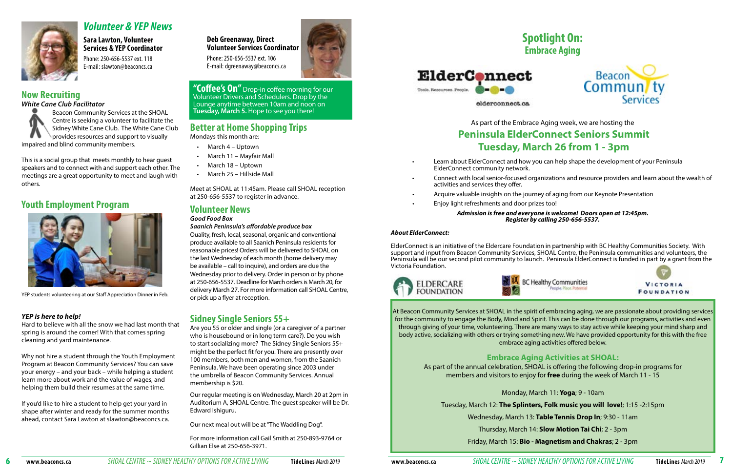### **Better at Home Shopping Trips**

Mondays this month are:

Meet at SHOAL at 11:45am. Please call SHOAL reception at 250-656-5537 to register in advance.

### **Volunteer News**

### *Good Food Box*

*Saanich Peninsula's affordable produce box*

Quality, fresh, local, seasonal, organic and conventional produce available to all Saanich Peninsula residents for reasonable prices! Orders will be delivered to SHOAL on the last Wednesday of each month (home delivery may be available – call to inquire), and orders are due the Wednesday prior to delivery. Order in person or by phone at 250-656-5537. Deadline for March orders is March 20, for delivery March 27. For more information call SHOAL Centre, or pick up a flyer at reception.

**Deb Greenaway, Direct Volunteer Services Coordinator**  Phone: 250-656-5537 ext. 106

E-mail: dgreenaway@beaconcs.ca



### *Volunteer & YEP News*

- March 4 Uptown
- March 11 Mayfair Mall
- March 18 Uptown
- March 25 Hillside Mall

### **Sara Lawton, Volunteer Services & YEP Coordinator**

Phone: 250-656-5537 ext. 118 E-mail: slawton@beaconcs.ca

> **"Coffee's On"** Drop-in coffee morning for our Volunteer Drivers and Schedulers. Drop by the Lounge anytime between 10am and noon on **Tuesday, March 5.** Hope to see you there!

### **Sidney Single Seniors 55+**

Are you 55 or older and single (or a caregiver of a partner who is housebound or in long term care?). Do you wish to start socializing more? The Sidney Single Seniors 55+ might be the perfect fit for you. There are presently over 100 members, both men and women, from the Saanich Peninsula. We have been operating since 2003 under the umbrella of Beacon Community Services. Annual membership is \$20.

Our regular meeting is on Wednesday, March 20 at 2pm in Auditorium A, SHOAL Centre. The guest speaker will be Dr. Edward Ishiguru.

Our next meal out will be at "The Waddling Dog".

For more information call Gail Smith at 250-893-9764 or Gillian Else at 250-656-3971.





elderconnect.ca





### **Now Recruiting**

### *White Cane Club Facilitator*

Beacon Community Services at the SHOAL Centre is seeking a volunteer to facilitate the Sidney White Cane Club. The White Cane Club provides resources and support to visually impaired and blind community members.

This is a social group that meets monthly to hear guest speakers and to connect with and support each other. The meetings are a great opportunity to meet and laugh with others.

### **Youth Employment Program**



### *YEP is here to help!*

Hard to believe with all the snow we had last month that spring is around the corner! With that comes spring cleaning and yard maintenance.

Why not hire a student through the Youth Employment Program at Beacon Community Services? You can save your energy – and your back – while helping a student learn more about work and the value of wages, and helping them build their resumes at the same time.

If you'd like to hire a student to help get your yard in shape after winter and ready for the summer months ahead, contact Sara Lawton at slawton@beaconcs.ca.

At Beacon Community Services at SHOAL in the spirit of embracing aging, we are passionate about providing services for the community to engage the Body, Mind and Spirit. This can be done through our programs, activities and even through giving of your time, volunteering. There are many ways to stay active while keeping your mind sharp and body active, socializing with others or trying something new. We have provided opportunity for this with the free embrace aging activities offered below.

### **Embrace Aging Activities at SHOAL:**

As part of the annual celebration, SHOAL is offering the following drop-in programs for members and visitors to enjoy for **free** during the week of March 11 - 15

Monday, March 11: **Yoga**; 9 - 10am

Tuesday, March 12: **The Splinters, Folk music you will love!**; 1:15 -2:15pm Wednesday, March 13: **Table Tennis Drop In**; 9:30 - 11am Thursday, March 14: **Slow Motion Tai Chi**; 2 - 3pm Friday, March 15: **Bio - Magnetism and Chakras**; 2 - 3pm

As part of the Embrace Aging week, we are hosting the **Peninsula ElderConnect Seniors Summit Tuesday, March 26 from 1 - 3pm**

• Learn about ElderConnect and how you can help shape the development of your Peninsula

• Connect with local senior-focused organizations and resource providers and learn about the wealth of

- ElderConnect community network.
- activities and services they offer.
- 
- Enjoy light refreshments and door prizes too!

• Acquire valuable insights on the journey of aging from our Keynote Presentation

**BC Healthy Communities** 



*Admission is free and everyone is welcome! Doors open at 12:45pm. Register by calling 250-656-5537.*

### *About ElderConnect:*

ElderConnect is an initiative of the Eldercare Foundation in partnership with BC Healthy Communities Society. With support and input from Beacon Community Services, SHOAL Centre, the Peninsula communities and volunteers, the Peninsula will be our second pilot community to launch. Peninsula ElderConnect is funded in part by a grant from the Victoria Foundation.





YEP students volunteering at our Staff Appreciation Dinner in Feb.